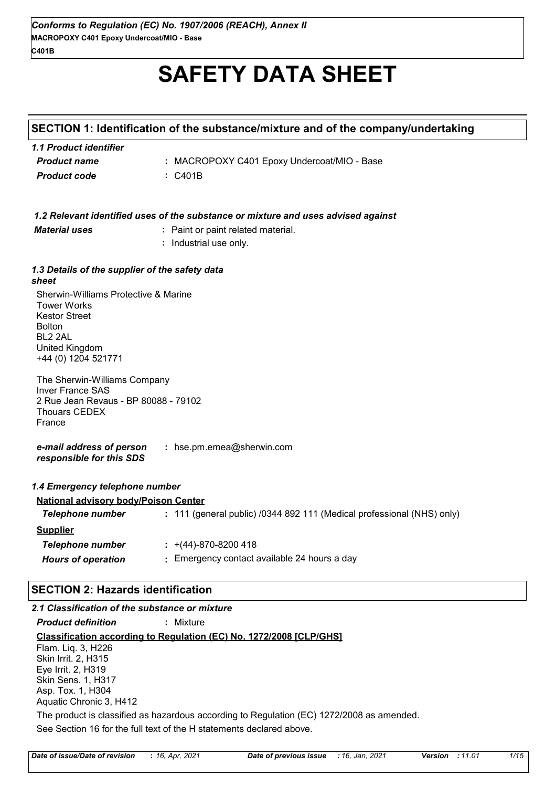# **SAFETY DATA SHEET**

# **SECTION 1: Identification of the substance/mixture and of the company/undertaking**

| 1.1 Product identifier |                                             |
|------------------------|---------------------------------------------|
| <b>Product name</b>    | : MACROPOXY C401 Epoxy Undercoat/MIO - Base |
| <b>Product code</b>    | $\therefore$ C401B                          |

|                                                                                                                                                                            | 1.2 Relevant identified uses of the substance or mixture and uses advised against |
|----------------------------------------------------------------------------------------------------------------------------------------------------------------------------|-----------------------------------------------------------------------------------|
| <b>Material uses</b>                                                                                                                                                       | : Paint or paint related material.                                                |
|                                                                                                                                                                            | : Industrial use only.                                                            |
| 1.3 Details of the supplier of the safety data<br>sheet                                                                                                                    |                                                                                   |
| Sherwin-Williams Protective & Marine<br><b>Tower Works</b><br><b>Kestor Street</b><br><b>Bolton</b><br>BL <sub>2</sub> 2AL<br><b>United Kingdom</b><br>+44 (0) 1204 521771 |                                                                                   |
| The Sherwin-Williams Company<br><b>Inver France SAS</b><br>2 Rue Jean Revaus - BP 80088 - 79102<br><b>Thouars CEDEX</b><br>France                                          |                                                                                   |
| e-mail address of person<br>responsible for this SDS                                                                                                                       | : hse.pm.emea@sherwin.com                                                         |
| 1.4 Emergency telephone number                                                                                                                                             |                                                                                   |
| <b>National advisory body/Poison Center</b>                                                                                                                                |                                                                                   |
| <b>Telephone number</b>                                                                                                                                                    | : 111 (general public) /0344 892 111 (Medical professional (NHS) only)            |
| <b>Supplier</b>                                                                                                                                                            |                                                                                   |
| <b>Telephone number</b>                                                                                                                                                    | $\div$ +(44)-870-8200 418                                                         |
| <b>Hours of operation</b>                                                                                                                                                  | : Emergency contact available 24 hours a day                                      |
|                                                                                                                                                                            |                                                                                   |

# **SECTION 2: Hazards identification**

# *2.1 Classification of the substance or mixture*

*Product definition* **:** Mixture

**Classification according to Regulation (EC) No. 1272/2008 [CLP/GHS]**

Flam. Liq. 3, H226 Skin Irrit. 2, H315 Eye Irrit. 2, H319 Skin Sens. 1, H317 Asp. Tox. 1, H304 Aquatic Chronic 3, H412

See Section 16 for the full text of the H statements declared above. The product is classified as hazardous according to Regulation (EC) 1272/2008 as amended.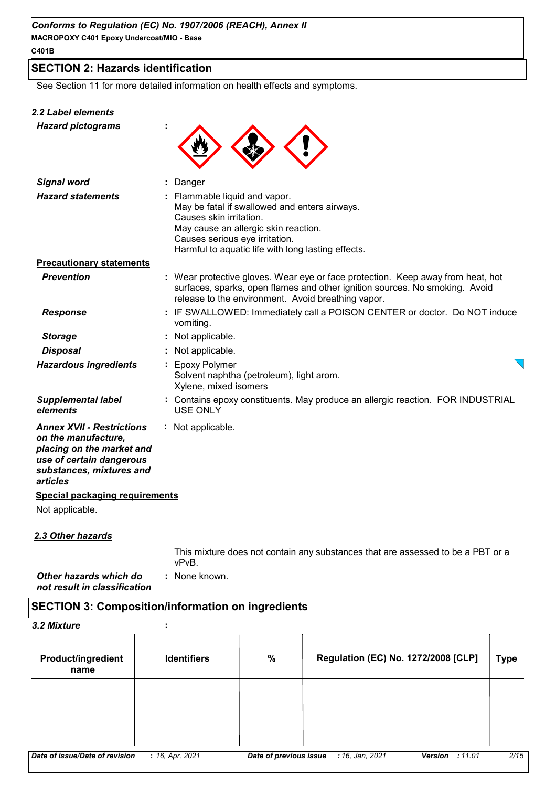# **SECTION 2: Hazards identification**

See Section 11 for more detailed information on health effects and symptoms.

#### *2.2 Label elements*

*Hazard pictograms* **:**



| <b>Signal word</b>                                                                                                                                       | : Danger                                                                                                                                                                                                                                  |
|----------------------------------------------------------------------------------------------------------------------------------------------------------|-------------------------------------------------------------------------------------------------------------------------------------------------------------------------------------------------------------------------------------------|
| <b>Hazard statements</b>                                                                                                                                 | : Flammable liquid and vapor.<br>May be fatal if swallowed and enters airways.<br>Causes skin irritation.<br>May cause an allergic skin reaction.<br>Causes serious eye irritation.<br>Harmful to aquatic life with long lasting effects. |
| <b>Precautionary statements</b>                                                                                                                          |                                                                                                                                                                                                                                           |
| <b>Prevention</b>                                                                                                                                        | : Wear protective gloves. Wear eye or face protection. Keep away from heat, hot<br>surfaces, sparks, open flames and other ignition sources. No smoking. Avoid<br>release to the environment. Avoid breathing vapor.                      |
| <b>Response</b>                                                                                                                                          | : IF SWALLOWED: Immediately call a POISON CENTER or doctor. Do NOT induce<br>vomiting.                                                                                                                                                    |
| <b>Storage</b>                                                                                                                                           | Not applicable.                                                                                                                                                                                                                           |
| <b>Disposal</b>                                                                                                                                          | Not applicable.                                                                                                                                                                                                                           |
| <b>Hazardous ingredients</b>                                                                                                                             | : Epoxy Polymer<br>Solvent naphtha (petroleum), light arom.<br>Xylene, mixed isomers                                                                                                                                                      |
| <b>Supplemental label</b><br>elements                                                                                                                    | : Contains epoxy constituents. May produce an allergic reaction. FOR INDUSTRIAL<br><b>USE ONLY</b>                                                                                                                                        |
| <b>Annex XVII - Restrictions</b><br>on the manufacture,<br>placing on the market and<br>use of certain dangerous<br>substances, mixtures and<br>articles | : Not applicable.                                                                                                                                                                                                                         |
| <b>Special packaging requirements</b>                                                                                                                    |                                                                                                                                                                                                                                           |
| Not applicable.                                                                                                                                          |                                                                                                                                                                                                                                           |
|                                                                                                                                                          |                                                                                                                                                                                                                                           |

## *2.3 Other hazards*

*Other hazards which do* **:** *not result in classification* : None known. This mixture does not contain any substances that are assessed to be a PBT or a vPvB.

# **SECTION 3: Composition/information on ingredients**

*3.2 Mixture* **:**

| <b>Product/ingredient</b><br>name | <b>Identifiers</b> | $\%$                   | Regulation (EC) No. 1272/2008 [CLP] |                   | <b>Type</b> |
|-----------------------------------|--------------------|------------------------|-------------------------------------|-------------------|-------------|
|                                   |                    |                        |                                     |                   |             |
|                                   |                    |                        |                                     |                   |             |
|                                   |                    |                        |                                     |                   |             |
| Date of issue/Date of revision    | : 16, Apr, 2021    | Date of previous issue | : 16, Jan, 2021                     | Version<br>:11.01 | 2/15        |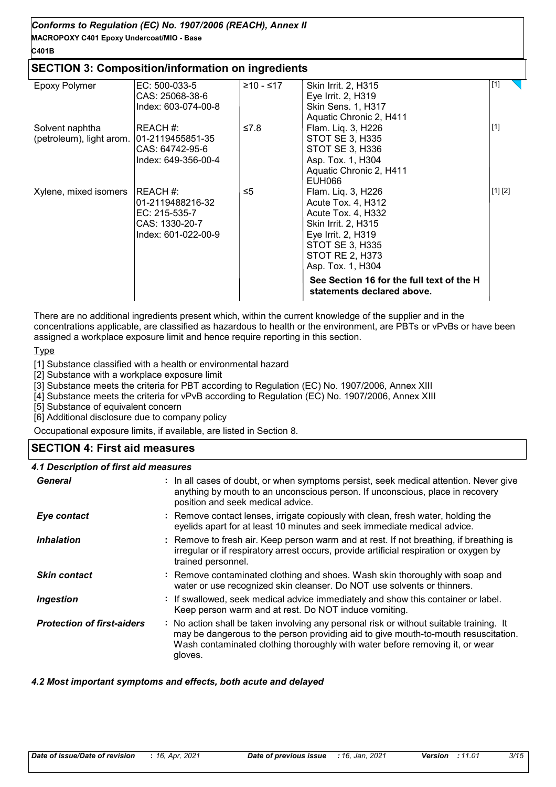# **MACROPOXY C401 Epoxy Undercoat/MIO - Base** *Conforms to Regulation (EC) No. 1907/2006 (REACH), Annex II*

# **C401B**

# **SECTION 3: Composition/information on ingredients**

| Epoxy Polymer            | EC: 500-033-5       | ≥10 - ≤17 | Skin Irrit. 2, H315                                                     | $[1]$   |  |
|--------------------------|---------------------|-----------|-------------------------------------------------------------------------|---------|--|
|                          | CAS: 25068-38-6     |           | Eye Irrit. 2, H319                                                      |         |  |
|                          | Index: 603-074-00-8 |           | <b>Skin Sens. 1, H317</b>                                               |         |  |
|                          |                     |           | Aquatic Chronic 2, H411                                                 |         |  |
| Solvent naphtha          | IREACH #:           | ≤7.8      | Flam. Liq. 3, H226                                                      | $[1]$   |  |
| (petroleum), light arom. | 01-2119455851-35    |           | <b>STOT SE 3, H335</b>                                                  |         |  |
|                          | CAS: 64742-95-6     |           | STOT SE 3, H336                                                         |         |  |
|                          | Index: 649-356-00-4 |           | Asp. Tox. 1, H304                                                       |         |  |
|                          |                     |           | Aquatic Chronic 2, H411                                                 |         |  |
|                          |                     |           | EUH066                                                                  |         |  |
| Xylene, mixed isomers    | IREACH #:           | ≤5        | Flam. Liq. 3, H226                                                      | [1] [2] |  |
|                          | 01-2119488216-32    |           | Acute Tox. 4, H312                                                      |         |  |
|                          | EC: 215-535-7       |           | Acute Tox. 4, H332                                                      |         |  |
|                          | CAS: 1330-20-7      |           | Skin Irrit. 2, H315                                                     |         |  |
|                          | Index: 601-022-00-9 |           | Eye Irrit. 2, H319                                                      |         |  |
|                          |                     |           | <b>STOT SE 3, H335</b>                                                  |         |  |
|                          |                     |           | STOT RE 2, H373                                                         |         |  |
|                          |                     |           | Asp. Tox. 1, H304                                                       |         |  |
|                          |                     |           | See Section 16 for the full text of the H<br>statements declared above. |         |  |

There are no additional ingredients present which, within the current knowledge of the supplier and in the concentrations applicable, are classified as hazardous to health or the environment, are PBTs or vPvBs or have been assigned a workplace exposure limit and hence require reporting in this section.

#### **Type**

[1] Substance classified with a health or environmental hazard

[2] Substance with a workplace exposure limit

[3] Substance meets the criteria for PBT according to Regulation (EC) No. 1907/2006, Annex XIII

[4] Substance meets the criteria for vPvB according to Regulation (EC) No. 1907/2006, Annex XIII

[5] Substance of equivalent concern

[6] Additional disclosure due to company policy

Occupational exposure limits, if available, are listed in Section 8.

# **SECTION 4: First aid measures**

#### *4.1 Description of first aid measures*

| General                           | : In all cases of doubt, or when symptoms persist, seek medical attention. Never give<br>anything by mouth to an unconscious person. If unconscious, place in recovery<br>position and seek medical advice.                                                              |
|-----------------------------------|--------------------------------------------------------------------------------------------------------------------------------------------------------------------------------------------------------------------------------------------------------------------------|
| Eye contact                       | : Remove contact lenses, irrigate copiously with clean, fresh water, holding the<br>eyelids apart for at least 10 minutes and seek immediate medical advice.                                                                                                             |
| <b>Inhalation</b>                 | : Remove to fresh air. Keep person warm and at rest. If not breathing, if breathing is<br>irregular or if respiratory arrest occurs, provide artificial respiration or oxygen by<br>trained personnel.                                                                   |
| <b>Skin contact</b>               | : Remove contaminated clothing and shoes. Wash skin thoroughly with soap and<br>water or use recognized skin cleanser. Do NOT use solvents or thinners.                                                                                                                  |
| <b>Ingestion</b>                  | : If swallowed, seek medical advice immediately and show this container or label.<br>Keep person warm and at rest. Do NOT induce vomiting.                                                                                                                               |
| <b>Protection of first-aiders</b> | : No action shall be taken involving any personal risk or without suitable training. It<br>may be dangerous to the person providing aid to give mouth-to-mouth resuscitation.<br>Wash contaminated clothing thoroughly with water before removing it, or wear<br>gloves. |

#### *4.2 Most important symptoms and effects, both acute and delayed*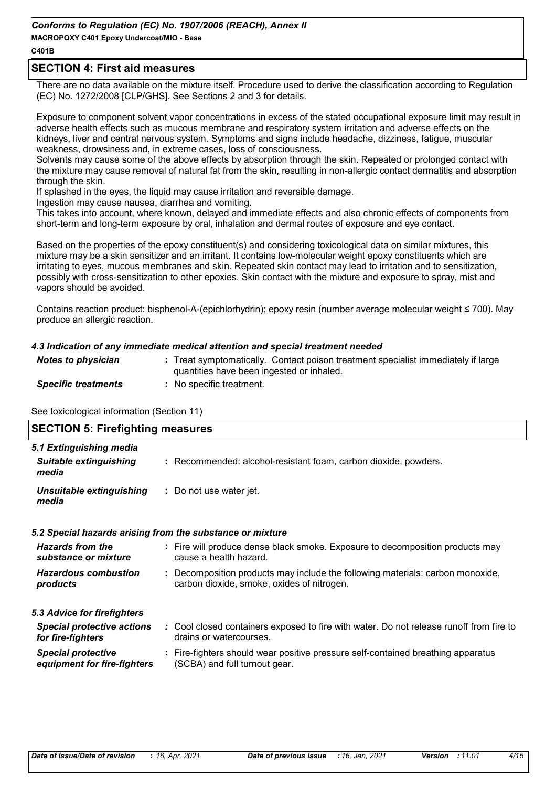**MACROPOXY C401 Epoxy Undercoat/MIO - Base**

## **C401B**

## **SECTION 4: First aid measures**

There are no data available on the mixture itself. Procedure used to derive the classification according to Regulation (EC) No. 1272/2008 [CLP/GHS]. See Sections 2 and 3 for details.

Exposure to component solvent vapor concentrations in excess of the stated occupational exposure limit may result in adverse health effects such as mucous membrane and respiratory system irritation and adverse effects on the kidneys, liver and central nervous system. Symptoms and signs include headache, dizziness, fatigue, muscular weakness, drowsiness and, in extreme cases, loss of consciousness.

Solvents may cause some of the above effects by absorption through the skin. Repeated or prolonged contact with the mixture may cause removal of natural fat from the skin, resulting in non-allergic contact dermatitis and absorption through the skin.

If splashed in the eyes, the liquid may cause irritation and reversible damage.

Ingestion may cause nausea, diarrhea and vomiting.

This takes into account, where known, delayed and immediate effects and also chronic effects of components from short-term and long-term exposure by oral, inhalation and dermal routes of exposure and eye contact.

Based on the properties of the epoxy constituent(s) and considering toxicological data on similar mixtures, this mixture may be a skin sensitizer and an irritant. It contains low-molecular weight epoxy constituents which are irritating to eyes, mucous membranes and skin. Repeated skin contact may lead to irritation and to sensitization, possibly with cross-sensitization to other epoxies. Skin contact with the mixture and exposure to spray, mist and vapors should be avoided.

Contains reaction product: bisphenol-A-(epichlorhydrin); epoxy resin (number average molecular weight ≤ 700). May produce an allergic reaction.

#### *4.3 Indication of any immediate medical attention and special treatment needed*

| <b>Notes to physician</b>  | : Treat symptomatically. Contact poison treatment specialist immediately if large<br>quantities have been ingested or inhaled. |
|----------------------------|--------------------------------------------------------------------------------------------------------------------------------|
| <b>Specific treatments</b> | No specific treatment.                                                                                                         |

See toxicological information (Section 11)

| <b>SECTION 5: Firefighting measures</b>                           |                                                                                                                              |
|-------------------------------------------------------------------|------------------------------------------------------------------------------------------------------------------------------|
| 5.1 Extinguishing media<br><b>Suitable extinguishing</b><br>media | : Recommended: alcohol-resistant foam, carbon dioxide, powders.                                                              |
| Unsuitable extinguishing<br>media                                 | : Do not use water jet.                                                                                                      |
|                                                                   | 5.2 Special hazards arising from the substance or mixture                                                                    |
| <b>Hazards from the</b><br>substance or mixture                   | : Fire will produce dense black smoke. Exposure to decomposition products may<br>cause a health hazard.                      |
| <b>Hazardous combustion</b><br>products                           | : Decomposition products may include the following materials: carbon monoxide,<br>carbon dioxide, smoke, oxides of nitrogen. |
| 5.3 Advice for firefighters                                       |                                                                                                                              |
| <b>Special protective actions</b><br>for fire-fighters            | : Cool closed containers exposed to fire with water. Do not release runoff from fire to<br>drains or watercourses.           |
| <b>Special protective</b><br>equipment for fire-fighters          | : Fire-fighters should wear positive pressure self-contained breathing apparatus<br>(SCBA) and full turnout gear.            |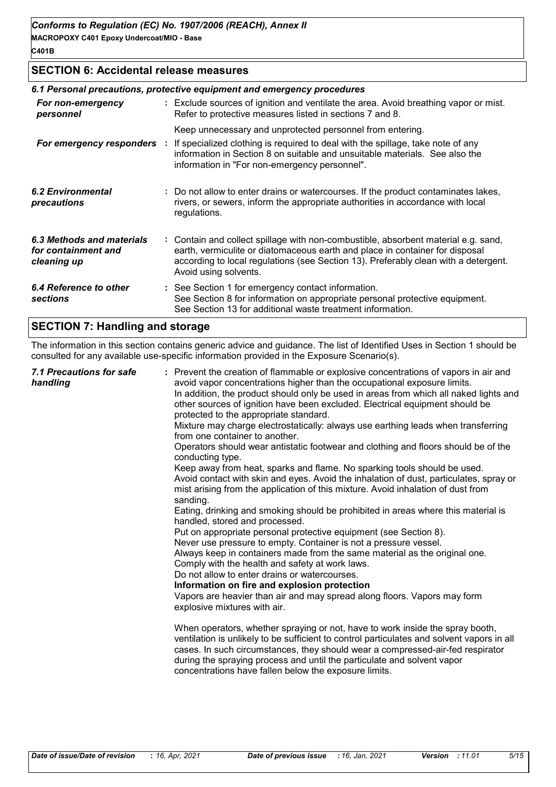# **SECTION 6: Accidental release measures**

|                                                                 | 6.1 Personal precautions, protective equipment and emergency procedures                                                                                                                                                                                                            |
|-----------------------------------------------------------------|------------------------------------------------------------------------------------------------------------------------------------------------------------------------------------------------------------------------------------------------------------------------------------|
| For non-emergency<br>personnel                                  | : Exclude sources of ignition and ventilate the area. Avoid breathing vapor or mist.<br>Refer to protective measures listed in sections 7 and 8.                                                                                                                                   |
|                                                                 | Keep unnecessary and unprotected personnel from entering.                                                                                                                                                                                                                          |
| For emergency responders :                                      | If specialized clothing is required to deal with the spillage, take note of any<br>information in Section 8 on suitable and unsuitable materials. See also the<br>information in "For non-emergency personnel".                                                                    |
| 6.2 Environmental<br>precautions                                | : Do not allow to enter drains or watercourses. If the product contaminates lakes,<br>rivers, or sewers, inform the appropriate authorities in accordance with local<br>regulations.                                                                                               |
| 6.3 Methods and materials<br>for containment and<br>cleaning up | : Contain and collect spillage with non-combustible, absorbent material e.g. sand,<br>earth, vermiculite or diatomaceous earth and place in container for disposal<br>according to local regulations (see Section 13). Preferably clean with a detergent.<br>Avoid using solvents. |
| 6.4 Reference to other<br><b>sections</b>                       | : See Section 1 for emergency contact information.<br>See Section 8 for information on appropriate personal protective equipment.<br>See Section 13 for additional waste treatment information.                                                                                    |
| ---------<br>.                                                  |                                                                                                                                                                                                                                                                                    |

# **SECTION 7: Handling and storage**

The information in this section contains generic advice and guidance. The list of Identified Uses in Section 1 should be consulted for any available use-specific information provided in the Exposure Scenario(s).

| 7.1 Precautions for safe<br>handling | : Prevent the creation of flammable or explosive concentrations of vapors in air and<br>avoid vapor concentrations higher than the occupational exposure limits.<br>In addition, the product should only be used in areas from which all naked lights and<br>other sources of ignition have been excluded. Electrical equipment should be<br>protected to the appropriate standard.<br>Mixture may charge electrostatically: always use earthing leads when transferring<br>from one container to another.<br>Operators should wear antistatic footwear and clothing and floors should be of the<br>conducting type.<br>Keep away from heat, sparks and flame. No sparking tools should be used.<br>Avoid contact with skin and eyes. Avoid the inhalation of dust, particulates, spray or<br>mist arising from the application of this mixture. Avoid inhalation of dust from<br>sanding.<br>Eating, drinking and smoking should be prohibited in areas where this material is<br>handled, stored and processed.<br>Put on appropriate personal protective equipment (see Section 8).<br>Never use pressure to empty. Container is not a pressure vessel.<br>Always keep in containers made from the same material as the original one.<br>Comply with the health and safety at work laws.<br>Do not allow to enter drains or watercourses.<br>Information on fire and explosion protection<br>Vapors are heavier than air and may spread along floors. Vapors may form<br>explosive mixtures with air.<br>When operators, whether spraying or not, have to work inside the spray booth,<br>ventilation is unlikely to be sufficient to control particulates and solvent vapors in all<br>cases. In such circumstances, they should wear a compressed-air-fed respirator<br>during the spraying process and until the particulate and solvent vapor<br>concentrations have fallen below the exposure limits. |
|--------------------------------------|---------------------------------------------------------------------------------------------------------------------------------------------------------------------------------------------------------------------------------------------------------------------------------------------------------------------------------------------------------------------------------------------------------------------------------------------------------------------------------------------------------------------------------------------------------------------------------------------------------------------------------------------------------------------------------------------------------------------------------------------------------------------------------------------------------------------------------------------------------------------------------------------------------------------------------------------------------------------------------------------------------------------------------------------------------------------------------------------------------------------------------------------------------------------------------------------------------------------------------------------------------------------------------------------------------------------------------------------------------------------------------------------------------------------------------------------------------------------------------------------------------------------------------------------------------------------------------------------------------------------------------------------------------------------------------------------------------------------------------------------------------------------------------------------------------------------------------------------------------------------------------------------------------------|
|                                      |                                                                                                                                                                                                                                                                                                                                                                                                                                                                                                                                                                                                                                                                                                                                                                                                                                                                                                                                                                                                                                                                                                                                                                                                                                                                                                                                                                                                                                                                                                                                                                                                                                                                                                                                                                                                                                                                                                               |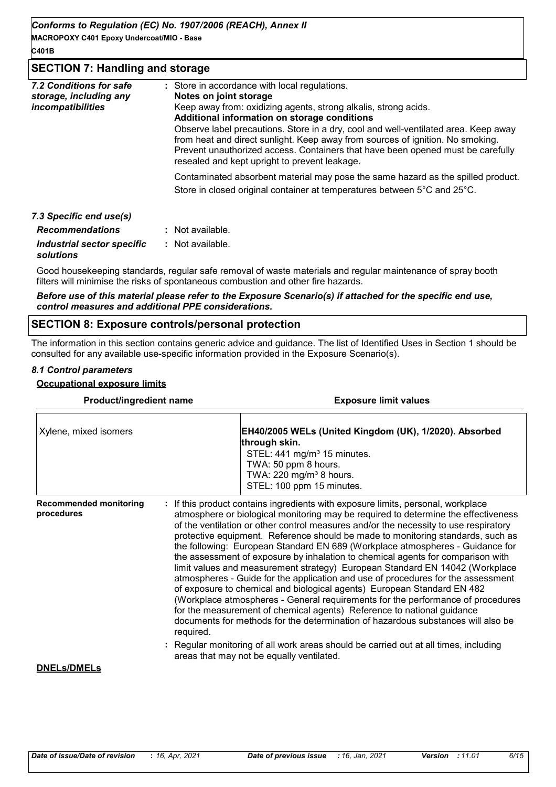**MACROPOXY C401 Epoxy Undercoat/MIO - Base**

#### **C401B**

### **SECTION 7: Handling and storage**

| 7.2 Conditions for safe<br>storage, including any<br><i>incompatibilities</i> | : Store in accordance with local regulations.<br>Notes on joint storage<br>Keep away from: oxidizing agents, strong alkalis, strong acids.<br>Additional information on storage conditions<br>Observe label precautions. Store in a dry, cool and well-ventilated area. Keep away<br>from heat and direct sunlight. Keep away from sources of ignition. No smoking.<br>Prevent unauthorized access. Containers that have been opened must be carefully<br>resealed and kept upright to prevent leakage. |
|-------------------------------------------------------------------------------|---------------------------------------------------------------------------------------------------------------------------------------------------------------------------------------------------------------------------------------------------------------------------------------------------------------------------------------------------------------------------------------------------------------------------------------------------------------------------------------------------------|
|                                                                               | Contaminated absorbent material may pose the same hazard as the spilled product.<br>Store in closed original container at temperatures between 5°C and 25°C.                                                                                                                                                                                                                                                                                                                                            |
| 7.3 Specific end use(s)                                                       |                                                                                                                                                                                                                                                                                                                                                                                                                                                                                                         |
| <b>Recommendations</b>                                                        | Alot available                                                                                                                                                                                                                                                                                                                                                                                                                                                                                          |

| <b>Recommendations</b>                  | : Not available. |
|-----------------------------------------|------------------|
| Industrial sector specific<br>solutions | : Not available. |

Good housekeeping standards, regular safe removal of waste materials and regular maintenance of spray booth filters will minimise the risks of spontaneous combustion and other fire hazards.

#### *Before use of this material please refer to the Exposure Scenario(s) if attached for the specific end use, control measures and additional PPE considerations.*

#### **SECTION 8: Exposure controls/personal protection**

The information in this section contains generic advice and guidance. The list of Identified Uses in Section 1 should be consulted for any available use-specific information provided in the Exposure Scenario(s).

# *8.1 Control parameters*

#### **Occupational exposure limits**

| Product/ingredient name                     | <b>Exposure limit values</b>                                                                                                                                                                                                                                                                                                                                                                                                                                                                                                                                                                                                                                                                                                                                                                                                                                                                                                                                                                                                     |
|---------------------------------------------|----------------------------------------------------------------------------------------------------------------------------------------------------------------------------------------------------------------------------------------------------------------------------------------------------------------------------------------------------------------------------------------------------------------------------------------------------------------------------------------------------------------------------------------------------------------------------------------------------------------------------------------------------------------------------------------------------------------------------------------------------------------------------------------------------------------------------------------------------------------------------------------------------------------------------------------------------------------------------------------------------------------------------------|
| Xylene, mixed isomers                       | EH40/2005 WELs (United Kingdom (UK), 1/2020). Absorbed<br>through skin.<br>STEL: 441 mg/m <sup>3</sup> 15 minutes.<br>TWA: 50 ppm 8 hours.<br>TWA: 220 mg/m <sup>3</sup> 8 hours.<br>STEL: 100 ppm 15 minutes.                                                                                                                                                                                                                                                                                                                                                                                                                                                                                                                                                                                                                                                                                                                                                                                                                   |
| <b>Recommended monitoring</b><br>procedures | If this product contains ingredients with exposure limits, personal, workplace<br>atmosphere or biological monitoring may be required to determine the effectiveness<br>of the ventilation or other control measures and/or the necessity to use respiratory<br>protective equipment. Reference should be made to monitoring standards, such as<br>the following: European Standard EN 689 (Workplace atmospheres - Guidance for<br>the assessment of exposure by inhalation to chemical agents for comparison with<br>limit values and measurement strategy) European Standard EN 14042 (Workplace<br>atmospheres - Guide for the application and use of procedures for the assessment<br>of exposure to chemical and biological agents) European Standard EN 482<br>(Workplace atmospheres - General requirements for the performance of procedures<br>for the measurement of chemical agents) Reference to national guidance<br>documents for methods for the determination of hazardous substances will also be<br>required. |
| <b>DNELs/DMELs</b>                          | Regular monitoring of all work areas should be carried out at all times, including<br>areas that may not be equally ventilated.                                                                                                                                                                                                                                                                                                                                                                                                                                                                                                                                                                                                                                                                                                                                                                                                                                                                                                  |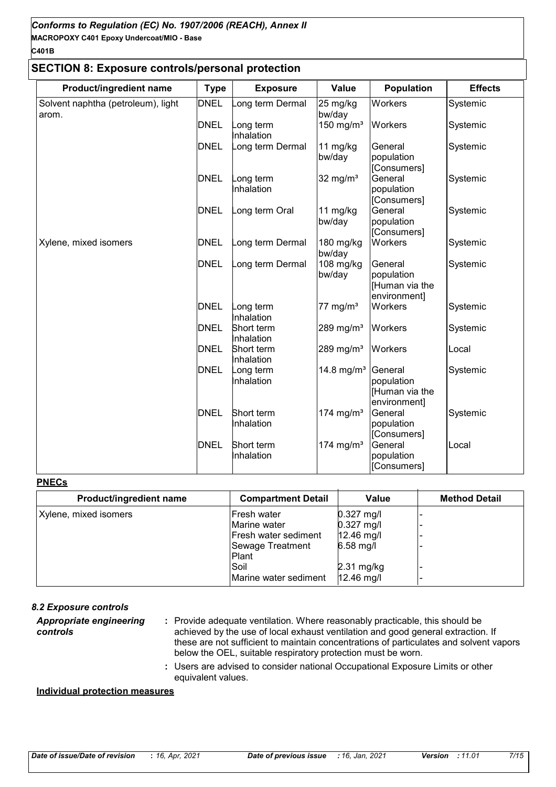#### **SECTION 8: Exposure controls/personal protection**

| Product/ingredient name                     | <b>Type</b> | <b>Exposure</b>          | Value                 | <b>Population</b>                                       | <b>Effects</b> |
|---------------------------------------------|-------------|--------------------------|-----------------------|---------------------------------------------------------|----------------|
| Solvent naphtha (petroleum), light<br>arom. | <b>DNEL</b> | ong term Dermal          | 25 mg/kg<br>bw/day    | Workers                                                 | Systemic       |
|                                             | <b>DNEL</b> | ong term<br>Inhalation   | 150 mg/m $3$          | Workers                                                 | Systemic       |
|                                             | DNEL        | ong term Dermal          | 11 mg/kg<br>bw/day    | General<br>population<br>[Consumers]                    | Systemic       |
|                                             | <b>DNEL</b> | _ong term<br>Inhalation  | 32 mg/ $m3$           | General<br>population<br>[Consumers]                    | Systemic       |
|                                             | <b>DNEL</b> | ong term Oral            | 11 mg/kg<br>bw/day    | General<br>population<br>[Consumers]                    | Systemic       |
| Xylene, mixed isomers                       | <b>DNEL</b> | ong term Dermal          | 180 mg/kg<br>bw/day   | Workers                                                 | Systemic       |
|                                             | <b>DNEL</b> | ong term Dermal          | 108 mg/kg<br>bw/day   | General<br>population<br>[Human via the<br>environment] | Systemic       |
|                                             | <b>DNEL</b> | ong term<br>Inhalation   | 77 mg/ $m3$           | Workers                                                 | Systemic       |
|                                             | <b>DNEL</b> | Short term<br>Inhalation | 289 mg/ $m3$          | Workers                                                 | Systemic       |
|                                             | <b>DNEL</b> | Short term<br>Inhalation | 289 mg/m <sup>3</sup> | Workers                                                 | Local          |
|                                             | <b>DNEL</b> | Long term<br>Inhalation  | 14.8 mg/ $m^3$        | General<br>population<br>[Human via the<br>environment] | Systemic       |
|                                             | <b>DNEL</b> | Short term<br>Inhalation | 174 mg/m <sup>3</sup> | General<br>population<br>[Consumers]                    | Systemic       |
|                                             | <b>DNEL</b> | Short term<br>Inhalation | 174 mg/m <sup>3</sup> | General<br>population<br>[Consumers]                    | Local          |

#### **PNECs**

| Product/ingredient name | <b>Compartment Detail</b> | Value                | <b>Method Detail</b> |
|-------------------------|---------------------------|----------------------|----------------------|
| Xylene, mixed isomers   | Fresh water               | $0.327$ mg/l         |                      |
|                         | Marine water              | $0.327$ mg/l         |                      |
|                         | Fresh water sediment      | $12.46$ mg/l         |                      |
|                         | Sewage Treatment          | $6.58$ mg/l          |                      |
|                         | Plant                     |                      |                      |
|                         | Soil                      | $2.31 \text{ mg/kg}$ |                      |
|                         | Marine water sediment     | 12.46 mg/l           |                      |

#### *8.2 Exposure controls*

Provide adequate ventilation. Where reasonably practicable, this should be **:** achieved by the use of local exhaust ventilation and good general extraction. If these are not sufficient to maintain concentrations of particulates and solvent vapors below the OEL, suitable respiratory protection must be worn. *Appropriate engineering controls*

> Users are advised to consider national Occupational Exposure Limits or other **:** equivalent values.

#### **Individual protection measures**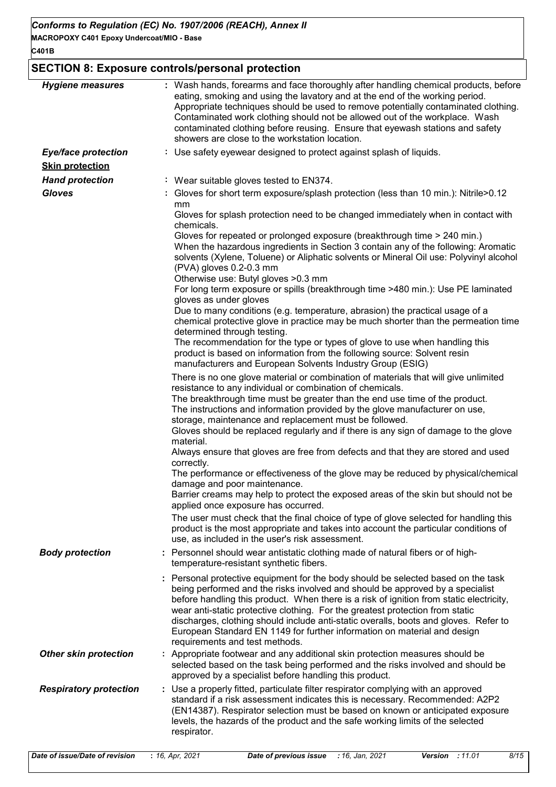# **SECTION 8: Exposure controls/personal protection**

| <b>Hygiene measures</b>                              | : Wash hands, forearms and face thoroughly after handling chemical products, before<br>eating, smoking and using the lavatory and at the end of the working period.<br>Appropriate techniques should be used to remove potentially contaminated clothing.<br>Contaminated work clothing should not be allowed out of the workplace. Wash<br>contaminated clothing before reusing. Ensure that eyewash stations and safety<br>showers are close to the workstation location.                                                                                                                                                                                                                                                                                                                                                                                                                                                |
|------------------------------------------------------|----------------------------------------------------------------------------------------------------------------------------------------------------------------------------------------------------------------------------------------------------------------------------------------------------------------------------------------------------------------------------------------------------------------------------------------------------------------------------------------------------------------------------------------------------------------------------------------------------------------------------------------------------------------------------------------------------------------------------------------------------------------------------------------------------------------------------------------------------------------------------------------------------------------------------|
| <b>Eye/face protection</b><br><b>Skin protection</b> | : Use safety eyewear designed to protect against splash of liquids.                                                                                                                                                                                                                                                                                                                                                                                                                                                                                                                                                                                                                                                                                                                                                                                                                                                        |
|                                                      |                                                                                                                                                                                                                                                                                                                                                                                                                                                                                                                                                                                                                                                                                                                                                                                                                                                                                                                            |
| <b>Hand protection</b><br><b>Gloves</b>              | : Wear suitable gloves tested to EN374.<br>: Gloves for short term exposure/splash protection (less than 10 min.): Nitrile>0.12                                                                                                                                                                                                                                                                                                                                                                                                                                                                                                                                                                                                                                                                                                                                                                                            |
|                                                      | mm<br>Gloves for splash protection need to be changed immediately when in contact with                                                                                                                                                                                                                                                                                                                                                                                                                                                                                                                                                                                                                                                                                                                                                                                                                                     |
|                                                      | chemicals.<br>Gloves for repeated or prolonged exposure (breakthrough time > 240 min.)<br>When the hazardous ingredients in Section 3 contain any of the following: Aromatic<br>solvents (Xylene, Toluene) or Aliphatic solvents or Mineral Oil use: Polyvinyl alcohol<br>(PVA) gloves 0.2-0.3 mm<br>Otherwise use: Butyl gloves > 0.3 mm                                                                                                                                                                                                                                                                                                                                                                                                                                                                                                                                                                                  |
|                                                      | For long term exposure or spills (breakthrough time >480 min.): Use PE laminated                                                                                                                                                                                                                                                                                                                                                                                                                                                                                                                                                                                                                                                                                                                                                                                                                                           |
|                                                      | gloves as under gloves<br>Due to many conditions (e.g. temperature, abrasion) the practical usage of a<br>chemical protective glove in practice may be much shorter than the permeation time<br>determined through testing.                                                                                                                                                                                                                                                                                                                                                                                                                                                                                                                                                                                                                                                                                                |
|                                                      | The recommendation for the type or types of glove to use when handling this<br>product is based on information from the following source: Solvent resin<br>manufacturers and European Solvents Industry Group (ESIG)                                                                                                                                                                                                                                                                                                                                                                                                                                                                                                                                                                                                                                                                                                       |
|                                                      | There is no one glove material or combination of materials that will give unlimited<br>resistance to any individual or combination of chemicals.<br>The breakthrough time must be greater than the end use time of the product.<br>The instructions and information provided by the glove manufacturer on use,<br>storage, maintenance and replacement must be followed.<br>Gloves should be replaced regularly and if there is any sign of damage to the glove<br>material.<br>Always ensure that gloves are free from defects and that they are stored and used<br>correctly.<br>The performance or effectiveness of the glove may be reduced by physical/chemical<br>damage and poor maintenance.<br>Barrier creams may help to protect the exposed areas of the skin but should not be<br>applied once exposure has occurred.<br>The user must check that the final choice of type of glove selected for handling this |
|                                                      | product is the most appropriate and takes into account the particular conditions of<br>use, as included in the user's risk assessment.                                                                                                                                                                                                                                                                                                                                                                                                                                                                                                                                                                                                                                                                                                                                                                                     |
| <b>Body protection</b>                               | : Personnel should wear antistatic clothing made of natural fibers or of high-<br>temperature-resistant synthetic fibers.                                                                                                                                                                                                                                                                                                                                                                                                                                                                                                                                                                                                                                                                                                                                                                                                  |
|                                                      | : Personal protective equipment for the body should be selected based on the task<br>being performed and the risks involved and should be approved by a specialist<br>before handling this product. When there is a risk of ignition from static electricity,<br>wear anti-static protective clothing. For the greatest protection from static<br>discharges, clothing should include anti-static overalls, boots and gloves. Refer to<br>European Standard EN 1149 for further information on material and design<br>requirements and test methods.                                                                                                                                                                                                                                                                                                                                                                       |
| <b>Other skin protection</b>                         | : Appropriate footwear and any additional skin protection measures should be<br>selected based on the task being performed and the risks involved and should be<br>approved by a specialist before handling this product.                                                                                                                                                                                                                                                                                                                                                                                                                                                                                                                                                                                                                                                                                                  |
| <b>Respiratory protection</b>                        | : Use a properly fitted, particulate filter respirator complying with an approved<br>standard if a risk assessment indicates this is necessary. Recommended: A2P2<br>(EN14387). Respirator selection must be based on known or anticipated exposure<br>levels, the hazards of the product and the safe working limits of the selected<br>respirator.                                                                                                                                                                                                                                                                                                                                                                                                                                                                                                                                                                       |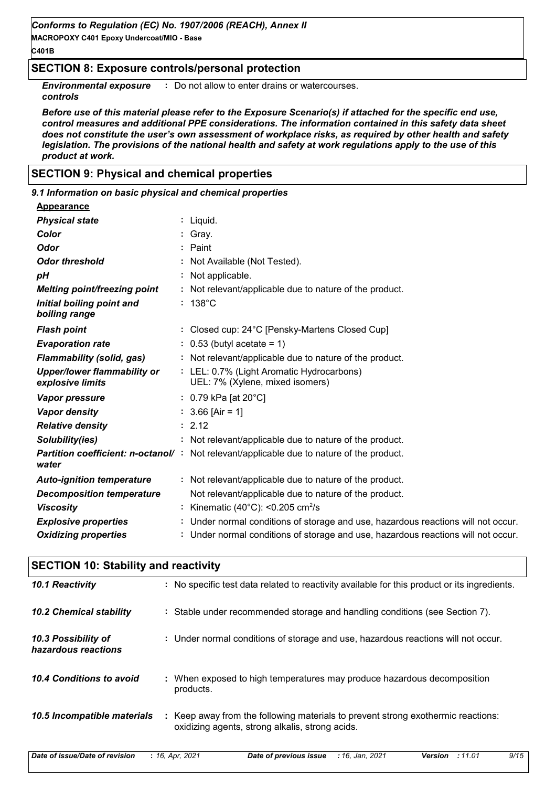**MACROPOXY C401 Epoxy Undercoat/MIO - Base**

#### **C401B**

# **SECTION 8: Exposure controls/personal protection**

**Environmental exposure** : Do not allow to enter drains or watercourses. *controls*

*Before use of this material please refer to the Exposure Scenario(s) if attached for the specific end use, control measures and additional PPE considerations. The information contained in this safety data sheet does not constitute the user's own assessment of workplace risks, as required by other health and safety legislation. The provisions of the national health and safety at work regulations apply to the use of this product at work.*

# **SECTION 9: Physical and chemical properties**

**SECTION 10: Stability and reactivity**

#### 138°C **:** *Physical state Melting point/freezing point Initial boiling point and boiling range Vapor pressure Relative density Vapor density Solubility(ies)* Liquid. **:** Not relevant/applicable due to nature of the product. **:** 2.12 **:** 3.66 [Air = 1] **:** 0.79 kPa [at 20°C] **:** Not relevant/applicable due to nature of the product. **: Odor** Paint *pH* **Color** : Gray. **Evaporation rate** : 0.53 (butyl acetate = 1) *Auto-ignition temperature Flash point* Not relevant/applicable due to nature of the product. **:** Closed cup: 24°C [Pensky-Martens Closed Cup] **:** LEL: 0.7% (Light Aromatic Hydrocarbons) **:** UEL: 7% (Xylene, mixed isomers) **Partition coefficient: n-octanol/:** Not relevant/applicable due to nature of the product. Not applicable. **:** Viscosity : Kinematic (40°C): <0.205 cm<sup>2</sup>/s *Odor threshold water Upper/lower flammability or explosive limits Explosive properties* **:** Not Available (Not Tested). **:** Under normal conditions of storage and use, hazardous reactions will not occur. **Oxidizing properties :** Under normal conditions of storage and use, hazardous reactions will not occur. *9.1 Information on basic physical and chemical properties* **Appearance Decomposition temperature** Not relevant/applicable due to nature of the product. *Flammability (solid, gas)* **:** Not relevant/applicable due to nature of the product.

| <u>ULUITUN TU. ULUVIIILY UITU TUUCLIVILY</u> |                                                                                                                                         |
|----------------------------------------------|-----------------------------------------------------------------------------------------------------------------------------------------|
| 10.1 Reactivity                              | : No specific test data related to reactivity available for this product or its ingredients.                                            |
| <b>10.2 Chemical stability</b>               | : Stable under recommended storage and handling conditions (see Section 7).                                                             |
| 10.3 Possibility of<br>hazardous reactions   | : Under normal conditions of storage and use, hazardous reactions will not occur.                                                       |
| 10.4 Conditions to avoid                     | : When exposed to high temperatures may produce hazardous decomposition<br>products.                                                    |
| 10.5 Incompatible materials                  | Keep away from the following materials to prevent strong exothermic reactions:<br>÷.<br>oxidizing agents, strong alkalis, strong acids. |

*Date of issue/Date of revision* **:** *16, Apr, 2021 Date of previous issue : 16, Jan, 2021 Version : 11.01 9/15*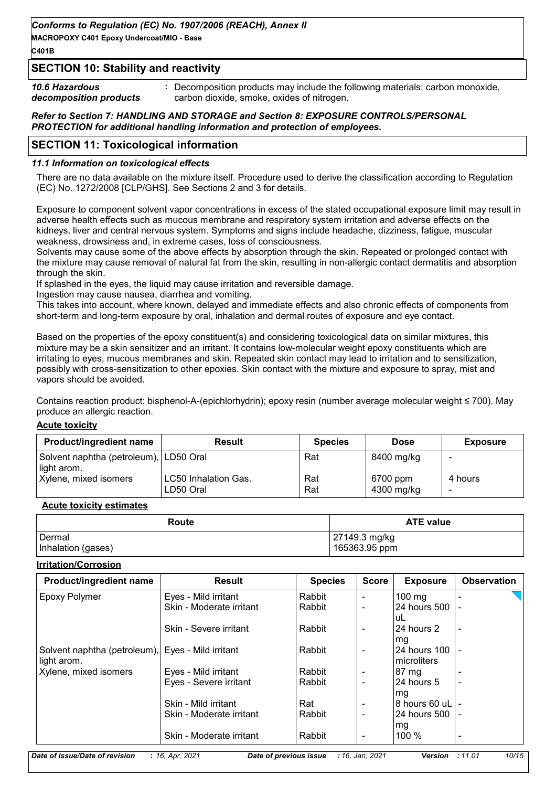**MACROPOXY C401 Epoxy Undercoat/MIO - Base**

**C401B**

# **SECTION 10: Stability and reactivity**

*10.6 Hazardous decomposition products* **:** Decomposition products may include the following materials: carbon monoxide, carbon dioxide, smoke, oxides of nitrogen.

#### *Refer to Section 7: HANDLING AND STORAGE and Section 8: EXPOSURE CONTROLS/PERSONAL PROTECTION for additional handling information and protection of employees.*

# **SECTION 11: Toxicological information**

## *11.1 Information on toxicological effects*

There are no data available on the mixture itself. Procedure used to derive the classification according to Regulation (EC) No. 1272/2008 [CLP/GHS]. See Sections 2 and 3 for details.

Exposure to component solvent vapor concentrations in excess of the stated occupational exposure limit may result in adverse health effects such as mucous membrane and respiratory system irritation and adverse effects on the kidneys, liver and central nervous system. Symptoms and signs include headache, dizziness, fatigue, muscular weakness, drowsiness and, in extreme cases, loss of consciousness.

Solvents may cause some of the above effects by absorption through the skin. Repeated or prolonged contact with the mixture may cause removal of natural fat from the skin, resulting in non-allergic contact dermatitis and absorption through the skin.

If splashed in the eyes, the liquid may cause irritation and reversible damage.

Ingestion may cause nausea, diarrhea and vomiting.

This takes into account, where known, delayed and immediate effects and also chronic effects of components from short-term and long-term exposure by oral, inhalation and dermal routes of exposure and eve contact.

Based on the properties of the epoxy constituent(s) and considering toxicological data on similar mixtures, this mixture may be a skin sensitizer and an irritant. It contains low-molecular weight epoxy constituents which are irritating to eyes, mucous membranes and skin. Repeated skin contact may lead to irritation and to sensitization, possibly with cross-sensitization to other epoxies. Skin contact with the mixture and exposure to spray, mist and vapors should be avoided.

Contains reaction product: bisphenol-A-(epichlorhydrin); epoxy resin (number average molecular weight ≤ 700). May produce an allergic reaction.

#### **Acute toxicity**

| <b>Product/ingredient name</b>                        | <b>Result</b>                            | <b>Species</b> | <b>Dose</b>            | <b>Exposure</b> |
|-------------------------------------------------------|------------------------------------------|----------------|------------------------|-----------------|
| Solvent naphtha (petroleum), LD50 Oral<br>light arom. |                                          | Rat            | 8400 mg/kg             |                 |
| Xylene, mixed isomers                                 | <b>LC50 Inhalation Gas.</b><br>LD50 Oral | Rat<br>Rat     | 6700 ppm<br>4300 mg/kg | 4 hours<br>-    |

#### **Acute toxicity estimates**

| Route              | <b>ATE value</b> |
|--------------------|------------------|
| Dermal             | 27149.3 mg/kg    |
| Inhalation (gases) | 165363.95 ppm    |

#### **Irritation/Corrosion**

| <b>Product/ingredient name</b>                                   | <b>Result</b>            | <b>Species</b> | <b>Score</b>   | <b>Exposure</b>              | <b>Observation</b>       |
|------------------------------------------------------------------|--------------------------|----------------|----------------|------------------------------|--------------------------|
| <b>Epoxy Polymer</b>                                             | Eyes - Mild irritant     | Rabbit         | $\blacksquare$ | $100 \text{ mg}$             |                          |
|                                                                  | Skin - Moderate irritant | Rabbit         | $\blacksquare$ | 24 hours 500<br>luL          |                          |
|                                                                  | Skin - Severe irritant   | Rabbit         | $\blacksquare$ | 124 hours 2<br>mg            | $\overline{\phantom{a}}$ |
| Solvent naphtha (petroleum), Eyes - Mild irritant<br>light arom. |                          | Rabbit         |                | 24 hours 100<br>Imicroliters |                          |
| Xylene, mixed isomers                                            | Eyes - Mild irritant     | Rabbit         |                | $87 \text{ mg}$              |                          |
|                                                                  | Eyes - Severe irritant   | Rabbit         |                | 24 hours 5<br>mg             |                          |
|                                                                  | Skin - Mild irritant     | Rat            | -              | 8 hours 60 uL   -            |                          |
|                                                                  | Skin - Moderate irritant | Rabbit         |                | l24 hours 500                |                          |
|                                                                  | Skin - Moderate irritant | Rabbit         |                | mg<br>100 %                  |                          |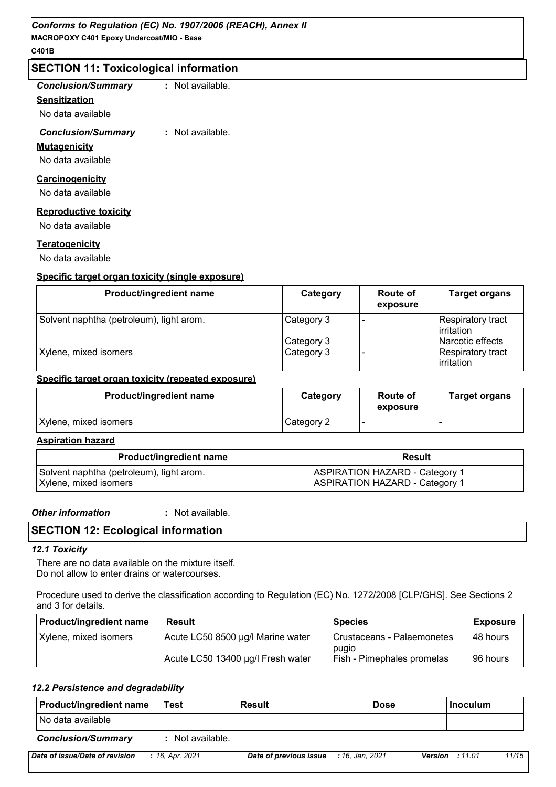# **SECTION 11: Toxicological information**

| <b>Conclusion/Summary</b> |  |
|---------------------------|--|
| Sensitization             |  |
| No data available         |  |
| <b>Conclusion/Summary</b> |  |

*Conclusion/Summary* **:** Not available.

*Conclusion/Summary* **:** Not available.

#### **Mutagenicity**

No data available

# **Carcinogenicity**

No data available

# **Reproductive toxicity**

No data available

#### **Teratogenicity**

No data available

#### **Specific target organ toxicity (single exposure)**

| Product/ingredient name                  | Category   | <b>Route of</b><br>exposure | <b>Target organs</b>                            |
|------------------------------------------|------------|-----------------------------|-------------------------------------------------|
| Solvent naphtha (petroleum), light arom. | Category 3 |                             | <b>Respiratory tract</b><br><b>l</b> irritation |
|                                          | Category 3 |                             | Narcotic effects                                |
| Xylene, mixed isomers                    | Category 3 |                             | <b>Respiratory tract</b><br>irritation          |

#### **Specific target organ toxicity (repeated exposure)**

| <b>Product/ingredient name</b> | Category   | <b>Route of</b><br>exposure | <b>Target organs</b> |
|--------------------------------|------------|-----------------------------|----------------------|
| Xylene, mixed isomers          | Category 2 |                             |                      |

#### **Aspiration hazard**

| <b>Product/ingredient name</b>           | <b>Result</b>                         |
|------------------------------------------|---------------------------------------|
| Solvent naphtha (petroleum), light arom. | <b>ASPIRATION HAZARD - Category 1</b> |
| Xylene, mixed isomers                    | <b>ASPIRATION HAZARD - Category 1</b> |

*Other information* **:**

: Not available.

# **SECTION 12: Ecological information**

#### *12.1 Toxicity*

There are no data available on the mixture itself. Do not allow to enter drains or watercourses.

Procedure used to derive the classification according to Regulation (EC) No. 1272/2008 [CLP/GHS]. See Sections 2 and 3 for details.

| <b>Product/ingredient name</b> | Result                            | <b>Species</b>                      | <b>Exposure</b> |
|--------------------------------|-----------------------------------|-------------------------------------|-----------------|
| Xylene, mixed isomers          | Acute LC50 8500 µg/l Marine water | Crustaceans - Palaemonetes          | I48 hours       |
|                                | Acute LC50 13400 µg/l Fresh water | pugio<br>Fish - Pimephales promelas | I96 hours       |

#### *12.2 Persistence and degradability*

| <b>Product/ingredient name</b> | Test            | Result                 | <b>Dose</b>     | <b>Inoculum</b>        |       |
|--------------------------------|-----------------|------------------------|-----------------|------------------------|-------|
| I No data available            |                 |                        |                 |                        |       |
| <b>Conclusion/Summary</b>      | Not available.  |                        |                 |                        |       |
| Date of issue/Date of revision | : 16, Apr. 2021 | Date of previous issue | : 16. Jan. 2021 | <b>Version</b> : 11.01 | 11/15 |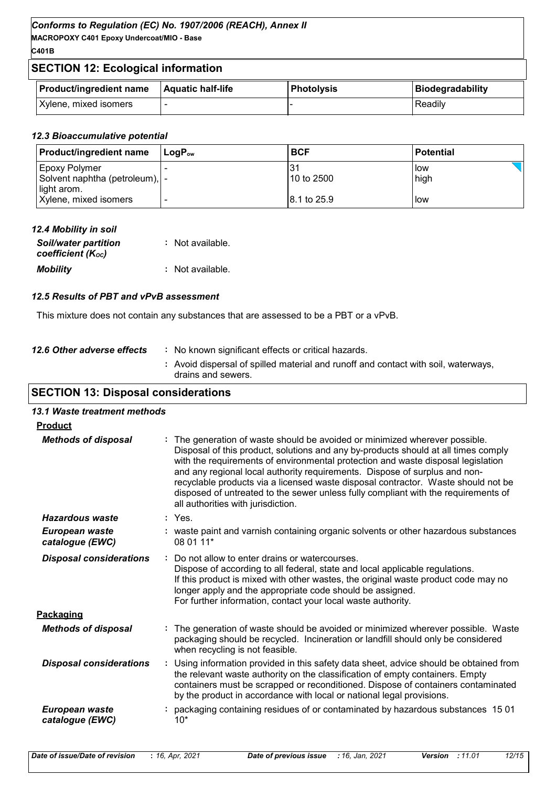**MACROPOXY C401 Epoxy Undercoat/MIO - Base C401B**

# **SECTION 12: Ecological information**

| <b>Product/ingredient name</b> | <b>Aquatic half-life</b> | l Photolvsis | Biodegradability |
|--------------------------------|--------------------------|--------------|------------------|
| Xylene, mixed isomers          |                          |              | Readily          |

#### *12.3 Bioaccumulative potential*

| <b>Product/ingredient name</b>                                          | $\mathsf{I}$ LogP $_{\mathsf{ow}}$ | <b>BCF</b>   | <b>Potential</b> |
|-------------------------------------------------------------------------|------------------------------------|--------------|------------------|
| <b>Epoxy Polymer</b><br>Solvent naphtha (petroleum),   -<br>light arom. |                                    | 10 to 2500   | low<br>high      |
| Xylene, mixed isomers                                                   | $\overline{\phantom{0}}$           | 18.1 to 25.9 | low              |

| 12.4 Mobility in soil                            |                  |
|--------------------------------------------------|------------------|
| <b>Soil/water partition</b><br>coefficient (Koc) | : Not available. |
| <b>Mobility</b>                                  | : Not available. |

#### *12.5 Results of PBT and vPvB assessment*

This mixture does not contain any substances that are assessed to be a PBT or a vPvB.

| 12.6 Other adverse effects | : No known significant effects or critical hazards.<br>: Avoid dispersal of spilled material and runoff and contact with soil, waterways, |
|----------------------------|-------------------------------------------------------------------------------------------------------------------------------------------|
|                            | drains and sewers.                                                                                                                        |
|                            |                                                                                                                                           |

# **SECTION 13: Disposal considerations**

| 13.1 Waste treatment methods      |                                                                                                                                                                                                                                                                                                                                                                                                                                                                                                                                                      |
|-----------------------------------|------------------------------------------------------------------------------------------------------------------------------------------------------------------------------------------------------------------------------------------------------------------------------------------------------------------------------------------------------------------------------------------------------------------------------------------------------------------------------------------------------------------------------------------------------|
| <b>Product</b>                    |                                                                                                                                                                                                                                                                                                                                                                                                                                                                                                                                                      |
| <b>Methods of disposal</b>        | : The generation of waste should be avoided or minimized wherever possible.<br>Disposal of this product, solutions and any by-products should at all times comply<br>with the requirements of environmental protection and waste disposal legislation<br>and any regional local authority requirements. Dispose of surplus and non-<br>recyclable products via a licensed waste disposal contractor. Waste should not be<br>disposed of untreated to the sewer unless fully compliant with the requirements of<br>all authorities with jurisdiction. |
| Hazardous waste                   | $:$ Yes.                                                                                                                                                                                                                                                                                                                                                                                                                                                                                                                                             |
| European waste<br>catalogue (EWC) | : waste paint and varnish containing organic solvents or other hazardous substances<br>08 01 11*                                                                                                                                                                                                                                                                                                                                                                                                                                                     |
| <b>Disposal considerations</b>    | Do not allow to enter drains or watercourses.<br>Dispose of according to all federal, state and local applicable regulations.<br>If this product is mixed with other wastes, the original waste product code may no<br>longer apply and the appropriate code should be assigned.<br>For further information, contact your local waste authority.                                                                                                                                                                                                     |
| Packaging                         |                                                                                                                                                                                                                                                                                                                                                                                                                                                                                                                                                      |
| <b>Methods of disposal</b>        | : The generation of waste should be avoided or minimized wherever possible. Waste<br>packaging should be recycled. Incineration or landfill should only be considered<br>when recycling is not feasible.                                                                                                                                                                                                                                                                                                                                             |
| <b>Disposal considerations</b>    | Using information provided in this safety data sheet, advice should be obtained from<br>the relevant waste authority on the classification of empty containers. Empty<br>containers must be scrapped or reconditioned. Dispose of containers contaminated<br>by the product in accordance with local or national legal provisions.                                                                                                                                                                                                                   |
| European waste<br>catalogue (EWC) | : packaging containing residues of or contaminated by hazardous substances 1501<br>$10*$                                                                                                                                                                                                                                                                                                                                                                                                                                                             |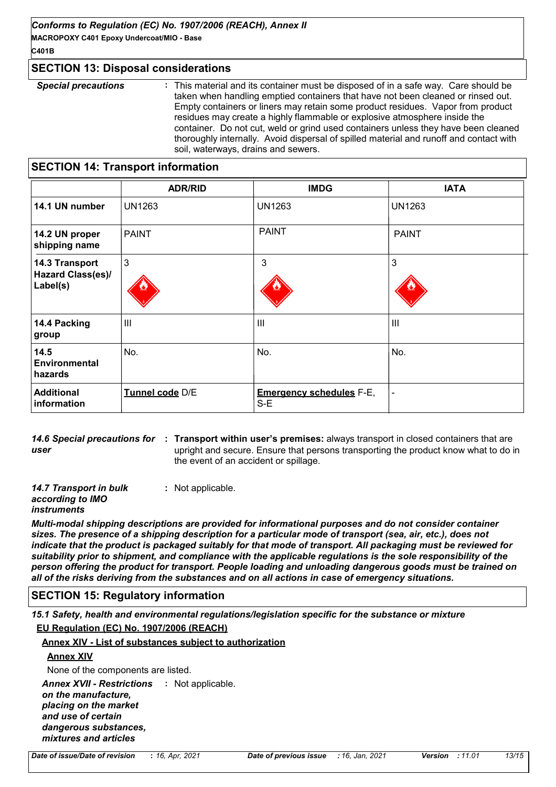**MACROPOXY C401 Epoxy Undercoat/MIO - Base C401B**

# **SECTION 13: Disposal considerations**

| <b>Special precautions</b> | : This material and its container must be disposed of in a safe way. Care should be    |
|----------------------------|----------------------------------------------------------------------------------------|
|                            | taken when handling emptied containers that have not been cleaned or rinsed out.       |
|                            | Empty containers or liners may retain some product residues. Vapor from product        |
|                            | residues may create a highly flammable or explosive atmosphere inside the              |
|                            | container. Do not cut, weld or grind used containers unless they have been cleaned     |
|                            | thoroughly internally. Avoid dispersal of spilled material and runoff and contact with |
|                            | soil, waterways, drains and sewers.                                                    |

# **SECTION 14: Transport information**

|                                                        | <b>ADR/RID</b>  | <b>IMDG</b>                              | <b>IATA</b>    |
|--------------------------------------------------------|-----------------|------------------------------------------|----------------|
| 14.1 UN number                                         | <b>UN1263</b>   | <b>UN1263</b>                            | <b>UN1263</b>  |
| 14.2 UN proper<br>shipping name                        | <b>PAINT</b>    | <b>PAINT</b>                             | <b>PAINT</b>   |
| 14.3 Transport<br><b>Hazard Class(es)/</b><br>Label(s) | $\mathbf{3}$    | 3                                        | 3              |
| 14.4 Packing<br>group                                  | $\mathbf{III}$  | III                                      | $\mathbf{III}$ |
| 14.5<br><b>Environmental</b><br>hazards                | No.             | No.                                      | No.            |
| <b>Additional</b><br>information                       | Tunnel code D/E | <b>Emergency schedules F-E,</b><br>$S-E$ |                |

14.6 Special precautions for : Transport within user's premises: always transport in closed containers that are *user* upright and secure. Ensure that persons transporting the product know what to do in the event of an accident or spillage.

*14.7 Transport in bulk according to IMO*  **:** Not applicable.

#### *instruments*

*Multi-modal shipping descriptions are provided for informational purposes and do not consider container sizes. The presence of a shipping description for a particular mode of transport (sea, air, etc.), does not indicate that the product is packaged suitably for that mode of transport. All packaging must be reviewed for suitability prior to shipment, and compliance with the applicable regulations is the sole responsibility of the person offering the product for transport. People loading and unloading dangerous goods must be trained on all of the risks deriving from the substances and on all actions in case of emergency situations.*

# **SECTION 15: Regulatory information**

*15.1 Safety, health and environmental regulations/legislation specific for the substance or mixture* **EU Regulation (EC) No. 1907/2006 (REACH)**

#### **Annex XIV - List of substances subject to authorization**

#### **Annex XIV**

None of the components are listed.

Annex XVII - Restrictions : Not applicable.

*on the manufacture, placing on the market and use of certain dangerous substances, mixtures and articles*

*Date of issue/Date of revision* **:** *16, Apr, 2021 Date of previous issue : 16, Jan, 2021 Version : 11.01 13/15*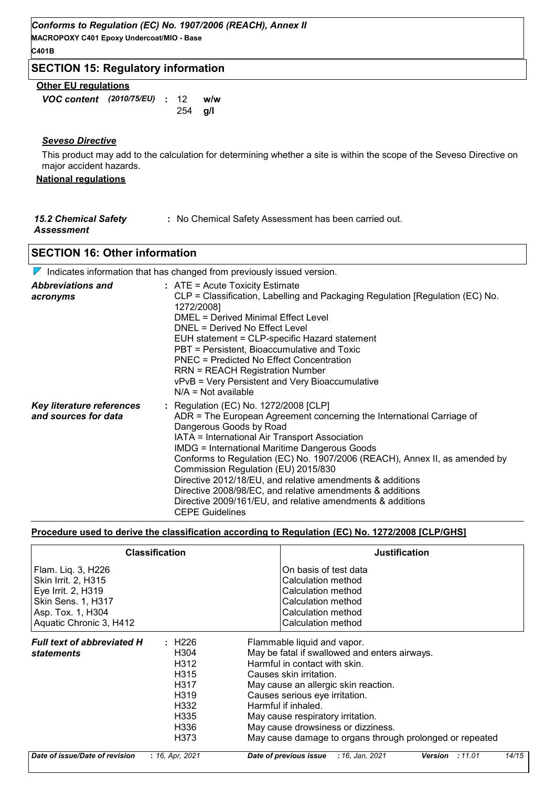**MACROPOXY C401 Epoxy Undercoat/MIO - Base C401B**

# **SECTION 15: Regulatory information**

# **Other EU regulations**

*VOC content* **: w/w** *(2010/75/EU)* **g/l** 254 w/w

#### *Seveso Directive*

This product may add to the calculation for determining whether a site is within the scope of the Seveso Directive on major accident hazards.

# **National regulations**

| <b>15.2 Chemical Safety</b> | : No Chemical Safety Assessment has been carried out. |
|-----------------------------|-------------------------------------------------------|
| Assessment                  |                                                       |

# **SECTION 16: Other information**

| $\nabla$ Indicates information that has changed from previously issued version. |                                                                                                                                                                                                                                                                                                                                                                                                                                                                                                                                                                                            |  |  |  |
|---------------------------------------------------------------------------------|--------------------------------------------------------------------------------------------------------------------------------------------------------------------------------------------------------------------------------------------------------------------------------------------------------------------------------------------------------------------------------------------------------------------------------------------------------------------------------------------------------------------------------------------------------------------------------------------|--|--|--|
| <b>Abbreviations and</b><br>acronyms                                            | : ATE = Acute Toxicity Estimate<br>CLP = Classification, Labelling and Packaging Regulation [Regulation (EC) No.<br>1272/2008]<br>DMEL = Derived Minimal Effect Level<br>DNEL = Derived No Effect Level<br>EUH statement = CLP-specific Hazard statement<br>PBT = Persistent, Bioaccumulative and Toxic<br><b>PNEC = Predicted No Effect Concentration</b><br><b>RRN = REACH Registration Number</b><br>vPvB = Very Persistent and Very Bioaccumulative<br>$N/A = Not available$                                                                                                           |  |  |  |
| Key literature references<br>and sources for data                               | : Regulation (EC) No. 1272/2008 [CLP]<br>ADR = The European Agreement concerning the International Carriage of<br>Dangerous Goods by Road<br>IATA = International Air Transport Association<br><b>IMDG = International Maritime Dangerous Goods</b><br>Conforms to Regulation (EC) No. 1907/2006 (REACH), Annex II, as amended by<br>Commission Regulation (EU) 2015/830<br>Directive 2012/18/EU, and relative amendments & additions<br>Directive 2008/98/EC, and relative amendments & additions<br>Directive 2009/161/EU, and relative amendments & additions<br><b>CEPE Guidelines</b> |  |  |  |

#### **Procedure used to derive the classification according to Regulation (EC) No. 1272/2008 [CLP/GHS]**

|                                                                                                                                       | <b>Classification</b>                                                                                                            | <b>Justification</b>                                                                                                                                                                                                                                                                                                                                                             |
|---------------------------------------------------------------------------------------------------------------------------------------|----------------------------------------------------------------------------------------------------------------------------------|----------------------------------------------------------------------------------------------------------------------------------------------------------------------------------------------------------------------------------------------------------------------------------------------------------------------------------------------------------------------------------|
| Flam. Liq. 3, H226<br>Skin Irrit. 2, H315<br>Eye Irrit. 2, H319<br>Skin Sens. 1, H317<br>Asp. Tox. 1, H304<br>Aquatic Chronic 3, H412 |                                                                                                                                  | On basis of test data<br>Calculation method<br>Calculation method<br>Calculation method<br>Calculation method<br>Calculation method                                                                                                                                                                                                                                              |
| <b>Full text of abbreviated H</b><br><b>statements</b>                                                                                | : H226<br>H <sub>304</sub><br>H312<br>H <sub>3</sub> 15<br>H317<br>H <sub>3</sub> 19<br>H332<br>H <sub>335</sub><br>H336<br>H373 | Flammable liquid and vapor.<br>May be fatal if swallowed and enters airways.<br>Harmful in contact with skin.<br>Causes skin irritation.<br>May cause an allergic skin reaction.<br>Causes serious eye irritation.<br>Harmful if inhaled.<br>May cause respiratory irritation.<br>May cause drowsiness or dizziness.<br>May cause damage to organs through prolonged or repeated |
| Date of issue/Date of revision                                                                                                        | : 16, Apr, 2021                                                                                                                  | 14/15<br>Date of previous issue<br>: 16, Jan, 2021<br><b>Version</b><br>: 11.01                                                                                                                                                                                                                                                                                                  |